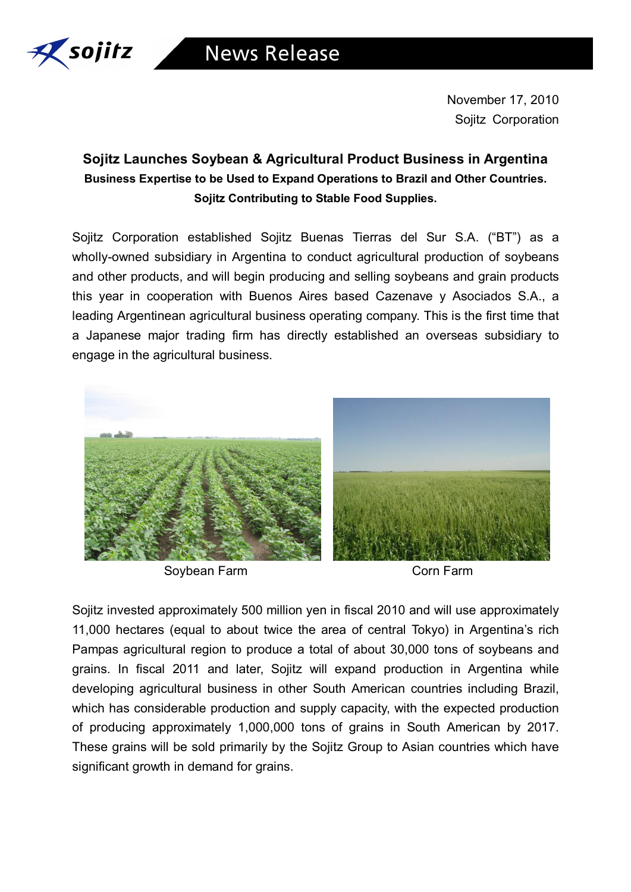

November 17, 2010 Sojitz Corporation

## **Sojitz Launches Soybean & Agricultural Product Business in Argentina Business Expertise to be Used to Expand Operations to Brazil and Other Countries. Sojitz Contributing to Stable Food Supplies.**

Sojitz Corporation established Sojitz Buenas Tierras del Sur S.A. ("BT") as a wholly-owned subsidiary in Argentina to conduct agricultural production of soybeans and other products, and will begin producing and selling soybeans and grain products this year in cooperation with Buenos Aires based Cazenave y Asociados S.A., a leading Argentinean agricultural business operating company. This is the first time that a Japanese major trading firm has directly established an overseas subsidiary to engage in the agricultural business.



Soybean Farm **Corn Farm** Corn Farm

Sojitz invested approximately 500 million yen in fiscal 2010 and will use approximately 11,000 hectares (equal to about twice the area of central Tokyo) in Argentina's rich Pampas agricultural region to produce a total of about 30,000 tons of soybeans and grains. In fiscal 2011 and later, Sojitz will expand production in Argentina while developing agricultural business in other South American countries including Brazil, which has considerable production and supply capacity, with the expected production of producing approximately 1,000,000 tons of grains in South American by 2017. These grains will be sold primarily by the Sojitz Group to Asian countries which have significant growth in demand for grains.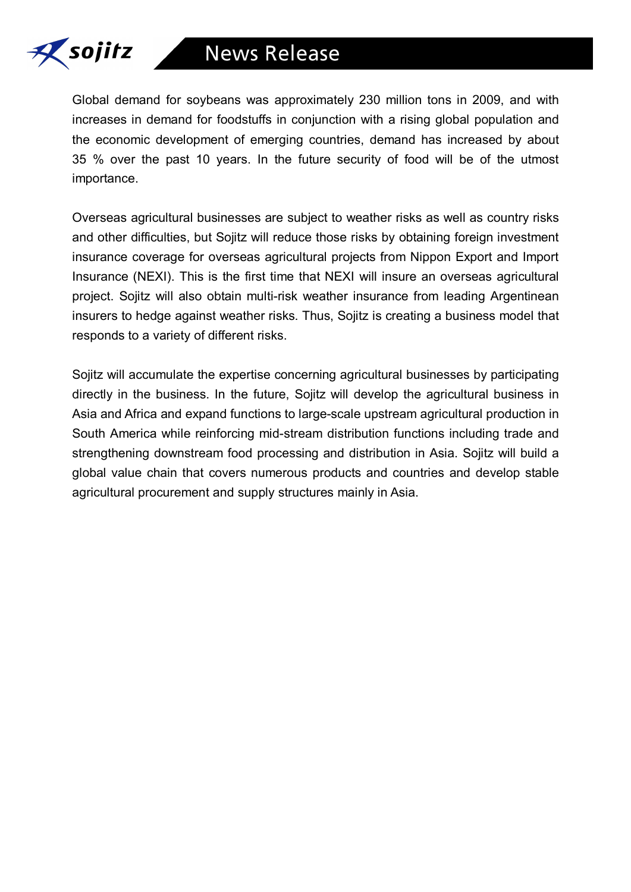

Global demand for soybeans was approximately 230 million tons in 2009, and with increases in demand for foodstuffs in conjunction with a rising global population and the economic development of emerging countries, demand has increased by about 35 % over the past 10 years. In the future security of food will be of the utmost importance.

Overseas agricultural businesses are subject to weather risks as well as country risks and other difficulties, but Sojitz will reduce those risks by obtaining foreign investment insurance coverage for overseas agricultural projects from Nippon Export and Import Insurance (NEXI). This is the first time that NEXI will insure an overseas agricultural project. Sojitz will also obtain multi-risk weather insurance from leading Argentinean insurers to hedge against weather risks. Thus, Sojitz is creating a business model that responds to a variety of different risks.

Sojitz will accumulate the expertise concerning agricultural businesses by participating directly in the business. In the future, Sojitz will develop the agricultural business in Asia and Africa and expand functions to large-scale upstream agricultural production in South America while reinforcing mid-stream distribution functions including trade and strengthening downstream food processing and distribution in Asia. Sojitz will build a global value chain that covers numerous products and countries and develop stable agricultural procurement and supply structures mainly in Asia.